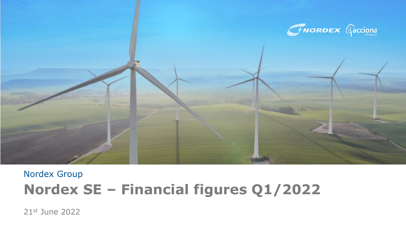

# Nordex Group **Nordex SE – Financial figures Q1/2022**

21st June 2022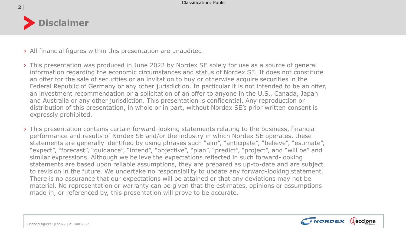

- › All financial figures within this presentation are unaudited.
- › This presentation was produced in June 2022 by Nordex SE solely for use as a source of general information regarding the economic circumstances and status of Nordex SE. It does not constitute an offer for the sale of securities or an invitation to buy or otherwise acquire securities in the Federal Republic of Germany or any other jurisdiction. In particular it is not intended to be an offer, an investment recommendation or a solicitation of an offer to anyone in the U.S., Canada, Japan and Australia or any other jurisdiction. This presentation is confidential. Any reproduction or distribution of this presentation, in whole or in part, without Nordex SE's prior written consent is expressly prohibited.
- › This presentation contains certain forward-looking statements relating to the business, financial performance and results of Nordex SE and/or the industry in which Nordex SE operates, these statements are generally identified by using phrases such "aim", "anticipate", "believe", "estimate", "expect", "forecast", "guidance", "intend", "objective", "plan", "predict", "project", and "will be" and similar expressions. Although we believe the expectations reflected in such forward-looking statements are based upon reliable assumptions, they are prepared as up-to-date and are subject to revision in the future. We undertake no responsibility to update any forward-looking statement. There is no assurance that our expectations will be attained or that any deviations may not be material. No representation or warranty can be given that the estimates, opinions or assumptions made in, or referenced by, this presentation will prove to be accurate.

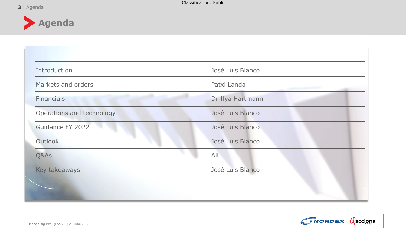

| Introduction              | José Luis Blanco |
|---------------------------|------------------|
| Markets and orders        | Patxi Landa      |
| <b>Financials</b>         | Dr Ilya Hartmann |
| Operations and technology | José Luis Blanco |
| Guidance FY 2022          | José Luis Blanco |
| Outlook                   | José Luis Blanco |
| Q&As                      | All              |
| Key takeaways             | José Luis Blanco |

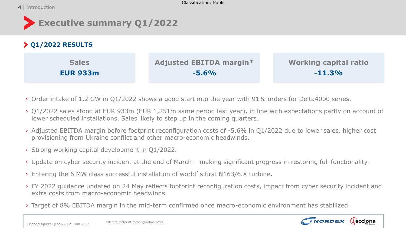### 4 | Introduction



# **Q1/2022 RESULTS**

| <b>Sales</b>    | <b>Adjusted EBITDA margin*</b> | <b>Working capital ratio</b> |
|-----------------|--------------------------------|------------------------------|
| <b>EUR 933m</b> | $-5.6%$                        | $-11.3%$                     |

- › Order intake of 1.2 GW in Q1/2022 shows a good start into the year with 91% orders for Delta4000 series.
- › Q1/2022 sales stood at EUR 933m (EUR 1,251m same period last year), in line with expectations partly on account of lower scheduled installations. Sales likely to step up in the coming quarters.
- › Adjusted EBITDA margin before footprint reconfiguration costs of -5.6% in Q1/2022 due to lower sales, higher cost provisioning from Ukraine conflict and other macro-economic headwinds.
- › Strong working capital development in Q1/2022.
- › Update on cyber security incident at the end of March making significant progress in restoring full functionality.
- › Entering the 6 MW class successful installation of world`s first N163/6.X turbine.
- › FY 2022 guidance updated on 24 May reflects footprint reconfiguration costs, impact from cyber security incident and extra costs from macro-economic headwinds.
- › Target of 8% EBITDA margin in the mid-term confirmed once macro-economic environment has stabilized.

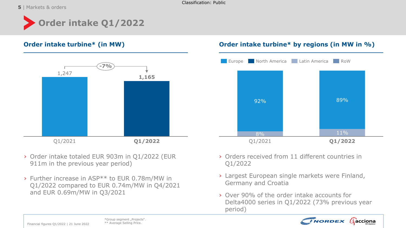**5** | Markets & orders

Classification: Public

# **Order intake Q1/2022**



- › Order intake totaled EUR 903m in Q1/2022 (EUR 911m in the previous year period)
- › Further increase in ASP\*\* to EUR 0.78m/MW in Q1/2022 compared to EUR 0.74m/MW in Q4/2021 and EUR 0.69m/MW in Q3/2021

## **Order intake turbine\* (in MW) Order intake turbine\* by regions (in MW in %)**



- › Orders received from 11 different countries in Q1/2022
- › Largest European single markets were Finland, Germany and Croatia
- › Over 90% of the order intake accounts for Delta4000 series in Q1/2022 (73% previous year period)

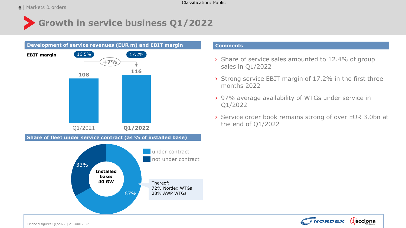# **Growth in service business Q1/2022**



#### **Comments**

- › Share of service sales amounted to 12.4% of group sales in Q1/2022
- › Strong service EBIT margin of 17.2% in the first three months 2022
- › 97% average availability of WTGs under service in Q1/2022
- › Service order book remains strong of over EUR 3.0bn at the end of Q1/2022

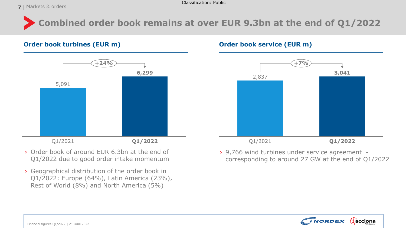**7** | Markets & orders

# **Combined order book remains at over EUR 9.3bn at the end of Q1/2022**

### **Order book turbines (EUR m) Order book service (EUR m)**



- › Order book of around EUR 6.3bn at the end of Q1/2022 due to good order intake momentum
- › Geographical distribution of the order book in Q1/2022: Europe (64%), Latin America (23%), Rest of World (8%) and North America (5%)



› 9,766 wind turbines under service agreement corresponding to around 27 GW at the end of Q1/2022

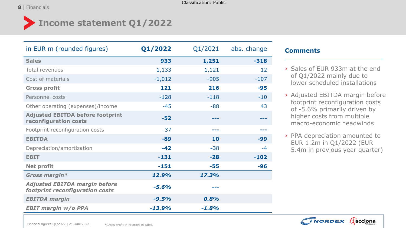#### | **8** Financials

# **Income statement Q1/2022**

| in EUR m (rounded figures)                                              | Q1/2022  | Q1/2021 | abs. change |
|-------------------------------------------------------------------------|----------|---------|-------------|
| <b>Sales</b>                                                            | 933      | 1,251   | $-318$      |
| Total revenues                                                          | 1,133    | 1,121   | 12          |
| Cost of materials                                                       | $-1,012$ | $-905$  | $-107$      |
| <b>Gross profit</b>                                                     | 121      | 216     | $-95$       |
| Personnel costs                                                         | $-128$   | $-118$  | $-10$       |
| Other operating (expenses)/income                                       | $-45$    | $-88$   | 43          |
| <b>Adjusted EBITDA before footprint</b><br>reconfiguration costs        | $-52$    | ---     |             |
| Footprint reconfiguration costs                                         | $-37$    | ---     |             |
| <b>EBITDA</b>                                                           | $-89$    | 10      | $-99$       |
| Depreciation/amortization                                               | $-42$    | $-38$   | $-4$        |
| <b>EBIT</b>                                                             | $-131$   | $-28$   | $-102$      |
| <b>Net profit</b>                                                       | $-151$   | $-55$   | $-96$       |
| Gross margin*                                                           | 12.9%    | 17.3%   |             |
| <b>Adjusted EBITDA margin before</b><br>footprint reconfiguration costs | $-5.6%$  |         |             |
| <b>EBITDA</b> margin                                                    | $-9.5%$  | 0.8%    |             |
| <b>EBIT margin w/o PPA</b>                                              | $-13.9%$ | $-1.8%$ |             |

### **Comments**

- › Sales of EUR 933m at the end of Q1/2022 mainly due to lower scheduled installations
- › Adjusted EBITDA margin before footprint reconfiguration costs of -5.6% primarily driven by higher costs from multiple macro-economic headwinds
- › PPA depreciation amounted to EUR 1.2m in Q1/2022 (EUR 5.4m in previous year quarter)

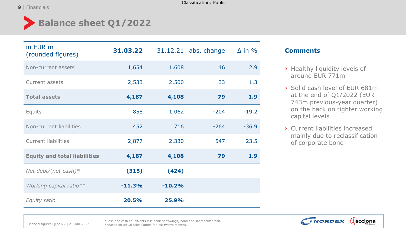Classification: Public

# **Balance sheet Q1/2022**

| in EUR m<br>(rounded figures)       | 31.03.22 |          | 31.12.21 abs. change | $\Delta$ in % |
|-------------------------------------|----------|----------|----------------------|---------------|
| Non-current assets                  | 1,654    | 1,608    | 46                   | 2.9           |
| Current assets                      | 2,533    | 2,500    | 33                   | 1.3           |
| <b>Total assets</b>                 | 4,187    | 4,108    | 79                   | 1.9           |
| Equity                              | 858      | 1,062    | $-204$               | $-19.2$       |
| Non-current liabilities             | 452      | 716      | $-264$               | $-36.9$       |
| <b>Current liabilities</b>          | 2,877    | 2,330    | 547                  | 23.5          |
| <b>Equity and total liabilities</b> | 4,187    | 4,108    | 79                   | 1.9           |
| Net debt/(net cash) $*$             | (315)    | (424)    |                      |               |
| Working capital ratio**             | $-11.3%$ | $-10.2%$ |                      |               |
| Equity ratio                        | 20.5%    | 25.9%    |                      |               |

### **Comments**

- › Healthy liquidity levels of around EUR 771m
- › Solid cash level of EUR 681m at the end of Q1/2022 (EUR 743m previous-year quarter) on the back on tighter working capital levels
- › Current liabilities increased mainly due to reclassification of corporate bond



Financial figures Q1/2022 | 21 June 2022

\*Cash and cash equivalents less bank borrowings, bond and shareholder loan. \*\*Based on actual sales figures for last twelve months.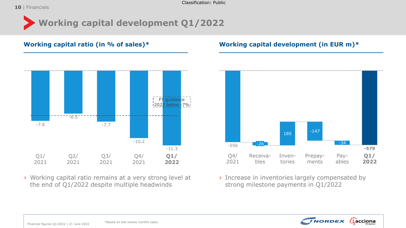Classification: Public

# **Working capital development Q1/2022**



› Working capital ratio remains at a very strong level at the end of Q1/2022 despite multiple headwinds

## **Working capital ratio (in % of sales)\* Working capital development (in EUR m)\***



› Increase in inventories largely compensated by strong milestone payments in Q1/2022

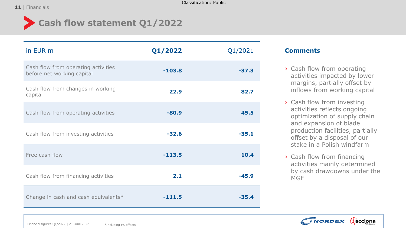

# **Cash flow statement Q1/2022**

| in EUR m                                                          | Q1/2022  | Q1/2021 |
|-------------------------------------------------------------------|----------|---------|
| Cash flow from operating activities<br>before net working capital | $-103.8$ | $-37.3$ |
| Cash flow from changes in working<br>capital                      | 22.9     | 82.7    |
| Cash flow from operating activities                               | $-80.9$  | 45.5    |
| Cash flow from investing activities                               | $-32.6$  | $-35.1$ |
| Free cash flow                                                    | $-113.5$ | 10.4    |
| Cash flow from financing activities                               | 2.1      | $-45.9$ |
| Change in cash and cash equivalents*                              | $-111.5$ | $-35.4$ |

### **Comments**

- › Cash flow from operating activities impacted by lower margins, partially offset by inflows from working capital
- › Cash flow from investing activities reflects ongoing optimization of supply chain and expansion of blade production facilities, partially offset by a disposal of our stake in a Polish windfarm
- › Cash flow from financing activities mainly determined by cash drawdowns under the MGF

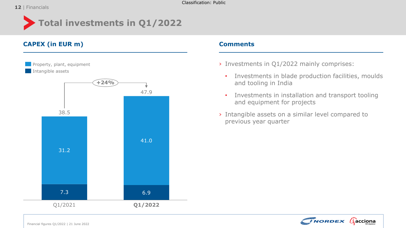Classification: Public

# **Total investments in Q1/2022**

## **CAPEX (in EUR m) Comments**



- › Investments in Q1/2022 mainly comprises:
	- Investments in blade production facilities, moulds and tooling in India
	- Investments in installation and transport tooling and equipment for projects
- › Intangible assets on a similar level compared to previous year quarter

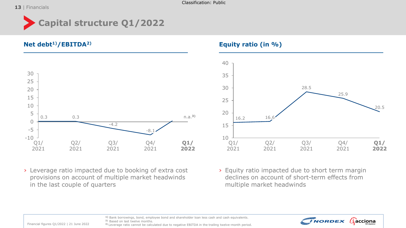#### 13 | Financials



**Net debt1)/EBITDA2) Equity ratio (in %)**



› Leverage ratio impacted due to booking of extra cost provisions on account of multiple market headwinds in the last couple of quarters





› Equity ratio impacted due to short term margin declines on account of short-term effects from multiple market headwinds



**1)** Bank borrowings, bond, employee bond and shareholder loan less cash and cash equivalents. **2)** Based on last twelve months.

Financial figures Q1/2022 | 21 June 2022

**3)** Leverage ratio cannot be calculated due to negative EBITDA in the trailing twelve-month period.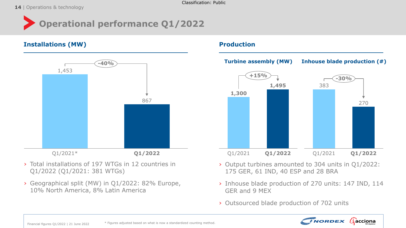**14** | Operations & technology



### **Installations (MW) And Allen Contract Contract Contract Contract Contract Contract Contract Contract Contract Contract Contract Contract Contract Contract Contract Contract Contract Contract Contract Contract Contract Con**



- › Total installations of 197 WTGs in 12 countries in Q1/2022 (Q1/2021: 381 WTGs)
- › Geographical split (MW) in Q1/2022: 82% Europe, 10% North America, 8% Latin America



- › Output turbines amounted to 304 units in Q1/2022: 175 GER, 61 IND, 40 ESP and 28 BRA
- › Inhouse blade production of 270 units: 147 IND, 114 GER and 9 MEX
- › Outsourced blade production of 702 units

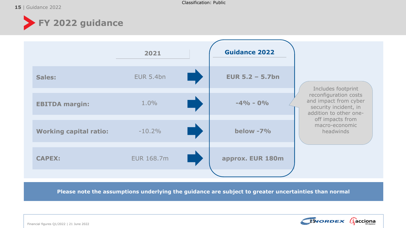

|                               | 2021              | <b>Guidance 2022</b> |                                                                                                   |
|-------------------------------|-------------------|----------------------|---------------------------------------------------------------------------------------------------|
| Sales:                        | <b>EUR 5.4bn</b>  | EUR $5.2 - 5.7$ bn   | Includes footprint                                                                                |
| <b>EBITDA margin:</b>         | $1.0\%$           | $-4\% - 0\%$         | reconfiguration costs<br>and impact from cyber<br>security incident, in<br>addition to other one- |
| <b>Working capital ratio:</b> | $-10.2\%$         | below -7%            | off impacts from<br>macro-economic<br>headwinds                                                   |
| <b>CAPEX:</b>                 | <b>EUR 168.7m</b> | approx. EUR 180m     |                                                                                                   |
|                               |                   |                      |                                                                                                   |

**Please note the assumptions underlying the guidance are subject to greater uncertainties than normal**

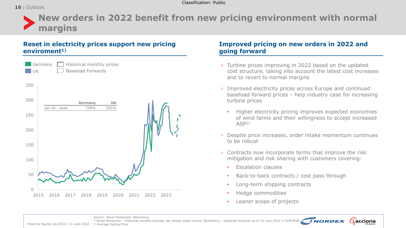### 16 | Outlook



## **Reset in electricity prices support new pricing enviroment1)**



### **Improved pricing on new orders in 2022 and going forward**

- cost structure, taking into account the latest cost increases and to revert to normal margins
- › Improved electricity prices across Europe and continued baseload forward prices – help industry case for increasing turbine prices
	- Higher electricity pricing improves expected economies of wind farms and their willingness to accept increased ASP2)
- › Despite price increases, order intake momentum continues to be robust

 $\beta$  acciona

- › Contracts now incorporate terms that improve the risk mitigation and risk sharing with customers covering:
	- Escalation clauses
	- Back-to-back contracts / cost pass through
	- Long-term shipping contracts
	- Hedge commodities
	- Leaner scope of projects

Source: Wood Mackenzie, Bloomberg.

1) Wood Mackenzie – historical monthly average day-ahead power prices; Bloomberg – baseload forwards as of 10 June 2022 in EUR/MWh. *NORDEX* 

Financial figures Q1/2022 | 21 June 2022 <sup>2</sup> Average Selling Price.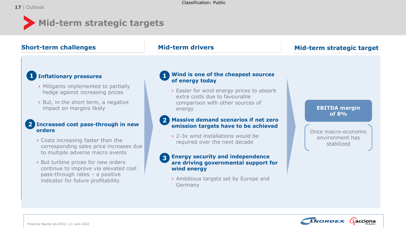#### **Mid-term strategic targets EBITDA margin of 8% Mid-term drivers** Once macro-economic environment has stabilized **Short-term challenges Mid-term strategic target** › **Inflationary pressures** › Mitigants implemented to partially hedge against increasing prices › But, in the short term, a negative impact on margins likely **1** 2 Increased cost pass-through in new **orders** › Costs increasing faster than the corresponding sales price increases due to multiple adverse macro events › But turbine prices for new orders continue to improve via elevated cost pass-through rates – a positive indicator for future profitability › **Wind is one of the cheapest sources of energy today** › Easier for wind energy prices to absorb extra costs due to favourable comparison with other sources of energy **1 2** Massive demand scenarios if net zero **emission targets have to be achieved** › 2-3x wind installations would be required over the next decade **Energy security and independence are driving governmental support for wind energy** › Ambitious targets set by Europe and Germany **3**

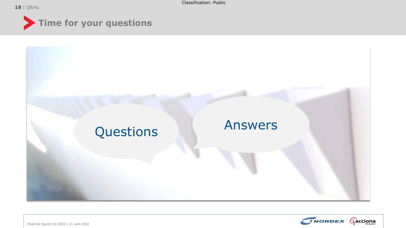| **18** Q&As







Financial figures Q1/2022 | 21 June 2022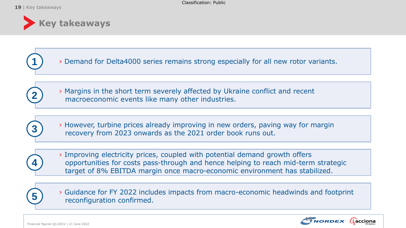

› Demand for Delta4000 series remains strong especially for all new rotor variants.





**1**

› However, turbine prices already improving in new orders, paving way for margin recovery from 2023 onwards as the 2021 order book runs out.



› Improving electricity prices, coupled with potential demand growth offers opportunities for costs pass-through and hence helping to reach mid-term strategic target of 8% EBITDA margin once macro-economic environment has stabilized.



› Guidance for FY 2022 includes impacts from macro-economic headwinds and footprint **5**  $\overline{\smash{5}}$  reconfiguration confirmed.

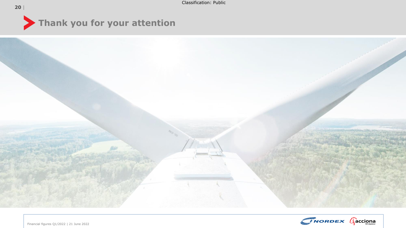





Financial figures Q1/2022 | 21 June 2022